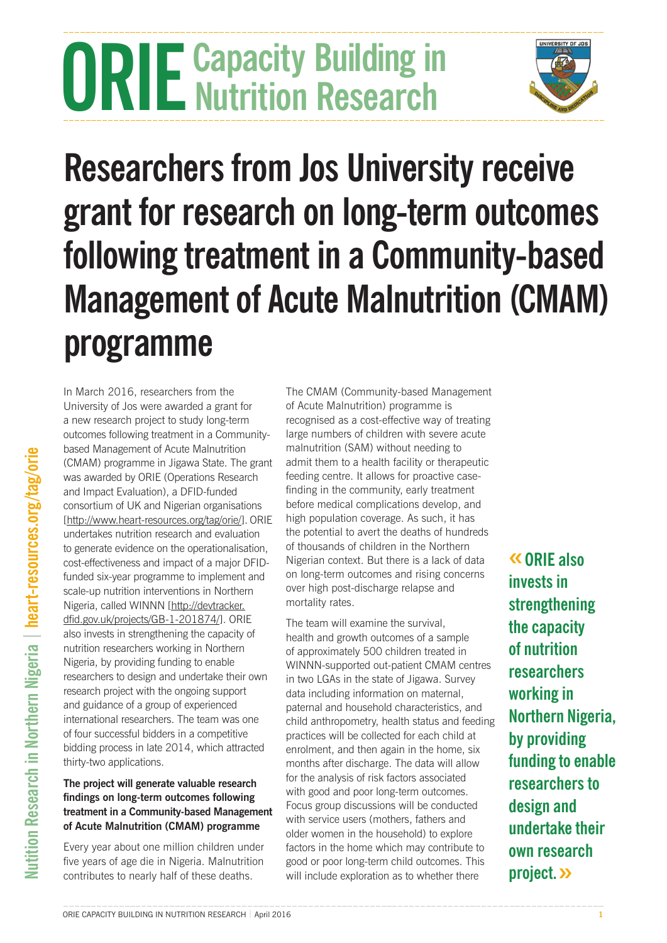# **ORIE** Capacity Building in **Nutrition Research**



## **Researchers from Jos University receive grant for research on long-term outcomes following treatment in a Community-based Management of Acute Malnutrition (CMAM) programme**

In March 2016, researchers from the University of Jos were awarded a grant for a new research project to study long-term outcomes following treatment in a Communitybased Management of Acute Malnutrition (CMAM) programme in Jigawa State. The grant was awarded by ORIE (Operations Research and Impact Evaluation), a DFID-funded consortium of UK and Nigerian organisations [<http://www.heart-resources.org/tag/orie/>]. ORIE undertakes nutrition research and evaluation to generate evidence on the operationalisation, cost-effectiveness and impact of a major DFIDfunded six-year programme to implement and scale-up nutrition interventions in Northern Nigeria, called WINNN [[http://devtracker.](http://devtracker.dfid.gov.uk/projects/GB-1-201874/) [dfid.gov.uk/projects/GB-1-201874/](http://devtracker.dfid.gov.uk/projects/GB-1-201874/)]. ORIE also invests in strengthening the capacity of nutrition researchers working in Northern Nigeria, by providing funding to enable researchers to design and undertake their own research project with the ongoing support and guidance of a group of experienced international researchers. The team was one of four successful bidders in a competitive bidding process in late 2014, which attracted thirty-two applications.

### **The project will generate valuable research findings on long-term outcomes following treatment in a Community-based Management of Acute Malnutrition (CMAM) programme**

Every year about one million children under five years of age die in Nigeria. Malnutrition contributes to nearly half of these deaths.

The CMAM (Community-based Management of Acute Malnutrition) programme is recognised as a cost-effective way of treating large numbers of children with severe acute malnutrition (SAM) without needing to admit them to a health facility or therapeutic feeding centre. It allows for proactive casefinding in the community, early treatment before medical complications develop, and high population coverage. As such, it has the potential to avert the deaths of hundreds of thousands of children in the Northern Nigerian context. But there is a lack of data on long-term outcomes and rising concerns over high post-discharge relapse and mortality rates.

The team will examine the survival, health and growth outcomes of a sample of approximately 500 children treated in WINNN-supported out-patient CMAM centres in two LGAs in the state of Jigawa. Survey data including information on maternal, paternal and household characteristics, and child anthropometry, health status and feeding practices will be collected for each child at enrolment, and then again in the home, six months after discharge. The data will allow for the analysis of risk factors associated with good and poor long-term outcomes. Focus group discussions will be conducted with service users (mothers, fathers and older women in the household) to explore factors in the home which may contribute to good or poor long-term child outcomes. This will include exploration as to whether there

**«ORIE also invests in strengthening the capacity of nutrition researchers working in Northern Nigeria, by providing funding to enable researchers to design and undertake their own research project.»**